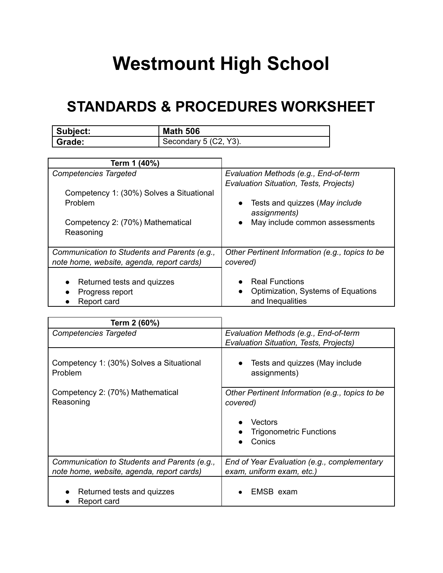## **Westmount High School**

## **STANDARDS & PROCEDURES WORKSHEET**

| Subject: | <b>Math 506</b>       |
|----------|-----------------------|
| Grade:   | Secondary 5 (C2, Y3). |

| Term 1 (40%)                                 |                                                 |
|----------------------------------------------|-------------------------------------------------|
| <b>Competencies Targeted</b>                 | Evaluation Methods (e.g., End-of-term           |
|                                              | <b>Evaluation Situation, Tests, Projects)</b>   |
| Competency 1: (30%) Solves a Situational     |                                                 |
| Problem                                      | Tests and quizzes (May include<br>$\bullet$     |
|                                              | assignments)                                    |
| Competency 2: (70%) Mathematical             | May include common assessments<br>$\bullet$     |
| Reasoning                                    |                                                 |
|                                              |                                                 |
| Communication to Students and Parents (e.g., | Other Pertinent Information (e.g., topics to be |
| note home, website, agenda, report cards)    | covered)                                        |
|                                              |                                                 |
| Returned tests and quizzes                   | <b>Real Functions</b>                           |
| Progress report                              | Optimization, Systems of Equations<br>$\bullet$ |
| Report card                                  | and Inequalities                                |

| Term 2 (60%)                                                                              |                                                                                 |
|-------------------------------------------------------------------------------------------|---------------------------------------------------------------------------------|
| <b>Competencies Targeted</b>                                                              | Evaluation Methods (e.g., End-of-term<br>Evaluation Situation, Tests, Projects) |
| Competency 1: (30%) Solves a Situational<br>Problem                                       | Tests and quizzes (May include<br>$\bullet$<br>assignments)                     |
| Competency 2: (70%) Mathematical<br>Reasoning                                             | Other Pertinent Information (e.g., topics to be<br>covered)                     |
|                                                                                           | Vectors<br><b>Trigonometric Functions</b>                                       |
|                                                                                           | Conics                                                                          |
| Communication to Students and Parents (e.g.,<br>note home, website, agenda, report cards) | End of Year Evaluation (e.g., complementary<br>exam, uniform exam, etc.)        |
| Returned tests and quizzes<br>Report card                                                 | EMSB exam                                                                       |